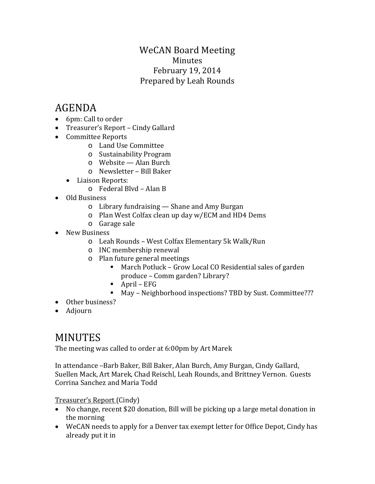### WeCAN Board Meeting Minutes February 19, 2014 Prepared by Leah Rounds

# AGENDA

- 6pm: Call to order
- Treasurer's Report Cindy Gallard
- Committee Reports
	- o Land Use Committee
	- o Sustainability Program
	- o Website Alan Burch
	- o Newsletter Bill Baker
	- Liaison Reports:
		- o Federal Blvd Alan B
- Old Business
	- o Library fundraising Shane and Amy Burgan
	- o Plan West Colfax clean up day w/ECM and HD4 Dems
	- o Garage sale
- New Business
	- o Leah Rounds West Colfax Elementary 5k Walk/Run
	- o INC membership renewal
	- o Plan future general meetings
		- March Potluck Grow Local CO Residential sales of garden produce – Comm garden? Library?
		- $\blacksquare$  April EFG
		- May Neighborhood inspections? TBD by Sust. Committee???
- Other business?
- Adjourn

## MINUTES

The meeting was called to order at 6:00pm by Art Marek

In attendance –Barb Baker, Bill Baker, Alan Burch, Amy Burgan, Cindy Gallard, Suellen Mack, Art Marek, Chad Reischl, Leah Rounds, and Brittney Vernon. Guests Corrina Sanchez and Maria Todd

Treasurer's Report (Cindy)

- No change, recent \$20 donation, Bill will be picking up a large metal donation in the morning
- WeCAN needs to apply for a Denver tax exempt letter for Office Depot, Cindy has already put it in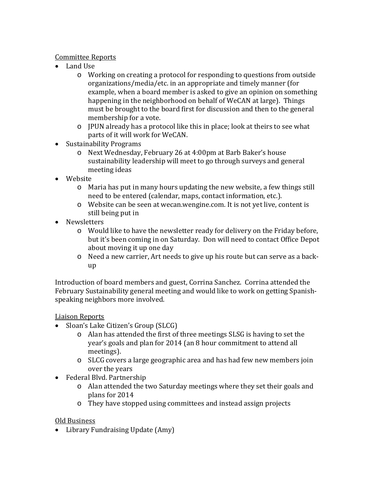#### Committee Reports

- Land Use
	- o Working on creating a protocol for responding to questions from outside organizations/media/etc. in an appropriate and timely manner (for example, when a board member is asked to give an opinion on something happening in the neighborhood on behalf of WeCAN at large). Things must be brought to the board first for discussion and then to the general membership for a vote.
	- o JPUN already has a protocol like this in place; look at theirs to see what parts of it will work for WeCAN.
- Sustainability Programs
	- o Next Wednesday, February 26 at 4:00pm at Barb Baker's house sustainability leadership will meet to go through surveys and general meeting ideas
- Website
	- o Maria has put in many hours updating the new website, a few things still need to be entered (calendar, maps, contact information, etc.).
	- o Website can be seen at wecan.wengine.com. It is not yet live, content is still being put in
- Newsletters
	- o Would like to have the newsletter ready for delivery on the Friday before, but it's been coming in on Saturday. Don will need to contact Office Depot about moving it up one day
	- o Need a new carrier, Art needs to give up his route but can serve as a backup

Introduction of board members and guest, Corrina Sanchez. Corrina attended the February Sustainability general meeting and would like to work on getting Spanishspeaking neighbors more involved.

#### Liaison Reports

- Sloan's Lake Citizen's Group (SLCG)
	- o Alan has attended the first of three meetings SLSG is having to set the year's goals and plan for 2014 (an 8 hour commitment to attend all meetings).
	- o SLCG covers a large geographic area and has had few new members join over the years
- Federal Blvd. Partnership
	- o Alan attended the two Saturday meetings where they set their goals and plans for 2014
	- o They have stopped using committees and instead assign projects

#### Old Business

• Library Fundraising Update (Amy)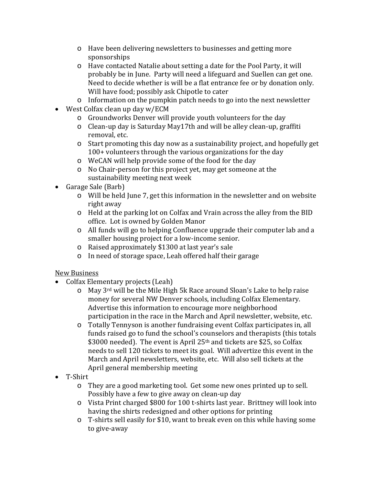- o Have been delivering newsletters to businesses and getting more sponsorships
- o Have contacted Natalie about setting a date for the Pool Party, it will probably be in June. Party will need a lifeguard and Suellen can get one. Need to decide whether is will be a flat entrance fee or by donation only. Will have food; possibly ask Chipotle to cater
- o Information on the pumpkin patch needs to go into the next newsletter
- West Colfax clean up day w/ECM
	- o Groundworks Denver will provide youth volunteers for the day
	- o Clean-up day is Saturday May17th and will be alley clean-up, graffiti removal, etc.
	- o Start promoting this day now as a sustainability project, and hopefully get 100+ volunteers through the various organizations for the day
	- o WeCAN will help provide some of the food for the day
	- o No Chair-person for this project yet, may get someone at the sustainability meeting next week
- Garage Sale (Barb)
	- o Will be held June 7, get this information in the newsletter and on website right away
	- o Held at the parking lot on Colfax and Vrain across the alley from the BID office. Lot is owned by Golden Manor
	- o All funds will go to helping Confluence upgrade their computer lab and a smaller housing project for a low-income senior.
	- o Raised approximately \$1300 at last year's sale
	- o In need of storage space, Leah offered half their garage

#### New Business

- Colfax Elementary projects (Leah)
	- o May 3rd will be the Mile High 5k Race around Sloan's Lake to help raise money for several NW Denver schools, including Colfax Elementary. Advertise this information to encourage more neighborhood participation in the race in the March and April newsletter, website, etc.
	- o Totally Tennyson is another fundraising event Colfax participates in, all funds raised go to fund the school's counselors and therapists (this totals \$3000 needed). The event is April 25<sup>th</sup> and tickets are \$25, so Colfax needs to sell 120 tickets to meet its goal. Will advertize this event in the March and April newsletters, website, etc. Will also sell tickets at the April general membership meeting
- T-Shirt
	- o They are a good marketing tool. Get some new ones printed up to sell. Possibly have a few to give away on clean-up day
	- o Vista Print charged \$800 for 100 t-shirts last year. Brittney will look into having the shirts redesigned and other options for printing
	- o T-shirts sell easily for \$10, want to break even on this while having some to give-away